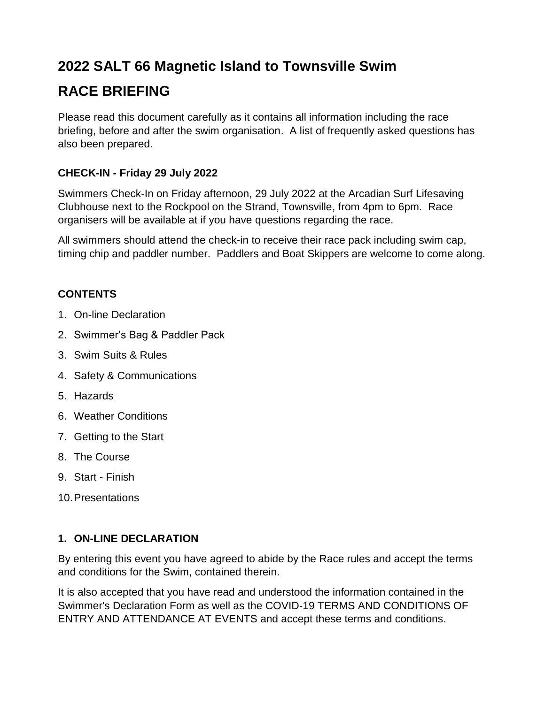# **2022 SALT 66 Magnetic Island to Townsville Swim**

# **RACE BRIEFING**

Please read this document carefully as it contains all information including the race briefing, before and after the swim organisation. A list of frequently asked questions has also been prepared.

# **CHECK-IN - Friday 29 July 2022**

Swimmers Check-In on Friday afternoon, 29 July 2022 at the Arcadian Surf Lifesaving Clubhouse next to the Rockpool on the Strand, Townsville, from 4pm to 6pm. Race organisers will be available at if you have questions regarding the race.

All swimmers should attend the check-in to receive their race pack including swim cap, timing chip and paddler number. Paddlers and Boat Skippers are welcome to come along.

# **CONTENTS**

- 1. On-line Declaration
- 2. Swimmer's Bag & Paddler Pack
- 3. Swim Suits & Rules
- 4. Safety & Communications
- 5. Hazards
- 6. Weather Conditions
- 7. Getting to the Start
- 8. The Course
- 9. Start Finish
- 10.Presentations

# **1. ON-LINE DECLARATION**

By entering this event you have agreed to abide by the Race rules and accept the terms and conditions for the Swim, contained therein.

It is also accepted that you have read and understood the information contained in the Swimmer's Declaration Form as well as the COVID-19 TERMS AND CONDITIONS OF ENTRY AND ATTENDANCE AT EVENTS and accept these terms and conditions.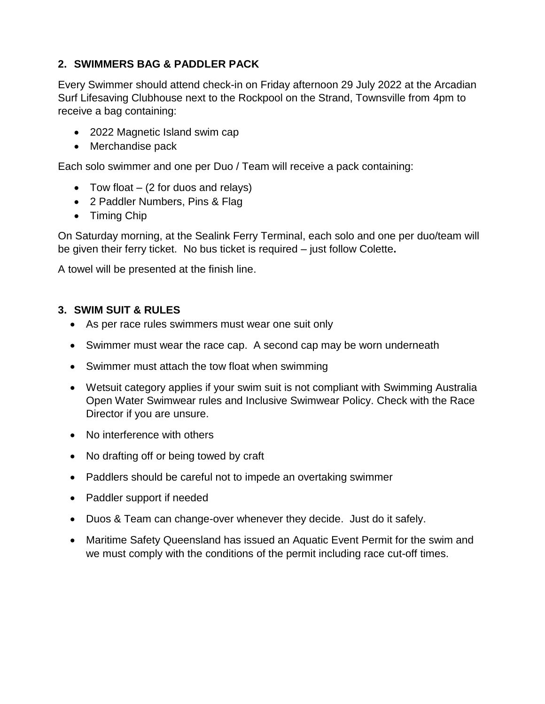## **2. SWIMMERS BAG & PADDLER PACK**

Every Swimmer should attend check-in on Friday afternoon 29 July 2022 at the Arcadian Surf Lifesaving Clubhouse next to the Rockpool on the Strand, Townsville from 4pm to receive a bag containing:

- 2022 Magnetic Island swim cap
- Merchandise pack

Each solo swimmer and one per Duo / Team will receive a pack containing:

- Tow float  $-$  (2 for duos and relays)
- 2 Paddler Numbers, Pins & Flag
- Timing Chip

On Saturday morning, at the Sealink Ferry Terminal, each solo and one per duo/team will be given their ferry ticket. No bus ticket is required – just follow Colette**.**

A towel will be presented at the finish line.

## **3. SWIM SUIT & RULES**

- As per race rules swimmers must wear one suit only
- Swimmer must wear the race cap. A second cap may be worn underneath
- Swimmer must attach the tow float when swimming
- Wetsuit category applies if your swim suit is not compliant with Swimming Australia Open Water Swimwear rules and Inclusive Swimwear Policy. Check with the Race Director if you are unsure.
- No interference with others
- No drafting off or being towed by craft
- Paddlers should be careful not to impede an overtaking swimmer
- Paddler support if needed
- Duos & Team can change-over whenever they decide. Just do it safely.
- Maritime Safety Queensland has issued an Aquatic Event Permit for the swim and we must comply with the conditions of the permit including race cut-off times.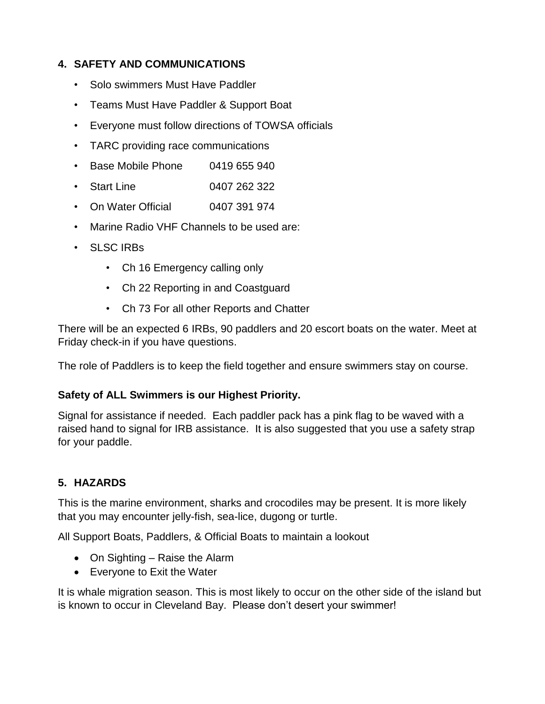## **4. SAFETY AND COMMUNICATIONS**

- Solo swimmers Must Have Paddler
- Teams Must Have Paddler & Support Boat
- Everyone must follow directions of TOWSA officials
- TARC providing race communications
- Base Mobile Phone 0419 655 940
- Start Line 0407 262 322
- On Water Official 0407 391 974
- Marine Radio VHF Channels to be used are:
- SLSC IRBs
	- Ch 16 Emergency calling only
	- Ch 22 Reporting in and Coastguard
	- Ch 73 For all other Reports and Chatter

There will be an expected 6 IRBs, 90 paddlers and 20 escort boats on the water. Meet at Friday check-in if you have questions.

The role of Paddlers is to keep the field together and ensure swimmers stay on course.

## **Safety of ALL Swimmers is our Highest Priority.**

Signal for assistance if needed. Each paddler pack has a pink flag to be waved with a raised hand to signal for IRB assistance. It is also suggested that you use a safety strap for your paddle.

# **5. HAZARDS**

This is the marine environment, sharks and crocodiles may be present. It is more likely that you may encounter jelly-fish, sea-lice, dugong or turtle.

All Support Boats, Paddlers, & Official Boats to maintain a lookout

- On Sighting Raise the Alarm
- Everyone to Exit the Water

It is whale migration season. This is most likely to occur on the other side of the island but is known to occur in Cleveland Bay. Please don't desert your swimmer!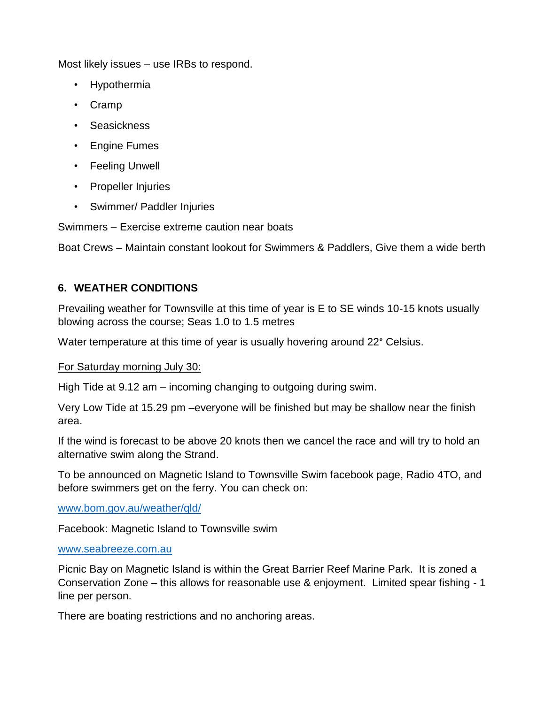Most likely issues – use IRBs to respond.

- Hypothermia
- Cramp
- Seasickness
- Engine Fumes
- Feeling Unwell
- Propeller Injuries
- Swimmer/ Paddler Injuries

Swimmers – Exercise extreme caution near boats

Boat Crews – Maintain constant lookout for Swimmers & Paddlers, Give them a wide berth

## **6. WEATHER CONDITIONS**

Prevailing weather for Townsville at this time of year is E to SE winds 10-15 knots usually blowing across the course; Seas 1.0 to 1.5 metres

Water temperature at this time of year is usually hovering around 22° Celsius.

#### For Saturday morning July 30:

High Tide at 9.12 am – incoming changing to outgoing during swim.

Very Low Tide at 15.29 pm –everyone will be finished but may be shallow near the finish area.

If the wind is forecast to be above 20 knots then we cancel the race and will try to hold an alternative swim along the Strand.

To be announced on Magnetic Island to Townsville Swim facebook page, Radio 4TO, and before swimmers get on the ferry. You can check on:

[www.bom.gov.au/weather/qld/](http://www.bom.gov.au/weather/qld/)

Facebook: Magnetic Island to Townsville swim

#### [www.seabreeze.com.au](http://www.seabreeze.com.au/)

Picnic Bay on Magnetic Island is within the Great Barrier Reef Marine Park. It is zoned a Conservation Zone – this allows for reasonable use & enjoyment. Limited spear fishing - 1 line per person.

There are boating restrictions and no anchoring areas.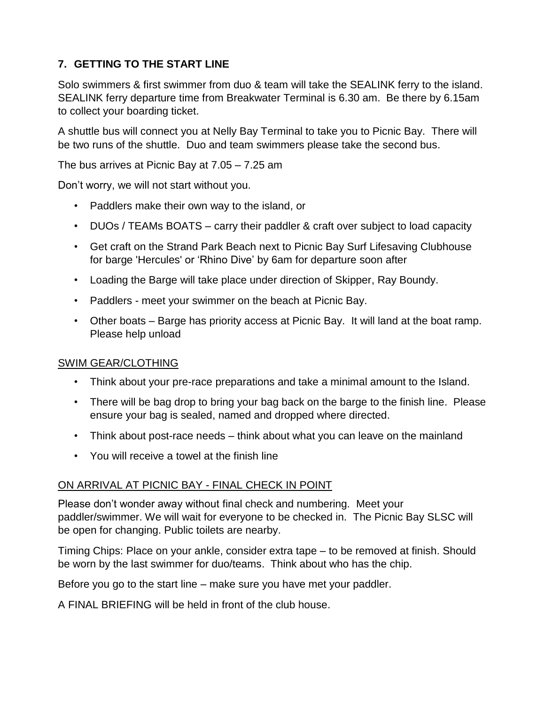# **7. GETTING TO THE START LINE**

Solo swimmers & first swimmer from duo & team will take the SEALINK ferry to the island. SEALINK ferry departure time from Breakwater Terminal is 6.30 am. Be there by 6.15am to collect your boarding ticket.

A shuttle bus will connect you at Nelly Bay Terminal to take you to Picnic Bay. There will be two runs of the shuttle. Duo and team swimmers please take the second bus.

The bus arrives at Picnic Bay at 7.05 – 7.25 am

Don't worry, we will not start without you.

- Paddlers make their own way to the island, or
- DUOs / TEAMs BOATS carry their paddler & craft over subject to load capacity
- Get craft on the Strand Park Beach next to Picnic Bay Surf Lifesaving Clubhouse for barge 'Hercules' or 'Rhino Dive' by 6am for departure soon after
- Loading the Barge will take place under direction of Skipper, Ray Boundy.
- Paddlers meet your swimmer on the beach at Picnic Bay.
- Other boats Barge has priority access at Picnic Bay. It will land at the boat ramp. Please help unload

## SWIM GEAR/CLOTHING

- Think about your pre-race preparations and take a minimal amount to the Island.
- There will be bag drop to bring your bag back on the barge to the finish line. Please ensure your bag is sealed, named and dropped where directed.
- Think about post-race needs think about what you can leave on the mainland
- You will receive a towel at the finish line

## ON ARRIVAL AT PICNIC BAY - FINAL CHECK IN POINT

Please don't wonder away without final check and numbering. Meet your paddler/swimmer. We will wait for everyone to be checked in. The Picnic Bay SLSC will be open for changing. Public toilets are nearby.

Timing Chips: Place on your ankle, consider extra tape – to be removed at finish. Should be worn by the last swimmer for duo/teams. Think about who has the chip.

Before you go to the start line – make sure you have met your paddler.

A FINAL BRIEFING will be held in front of the club house.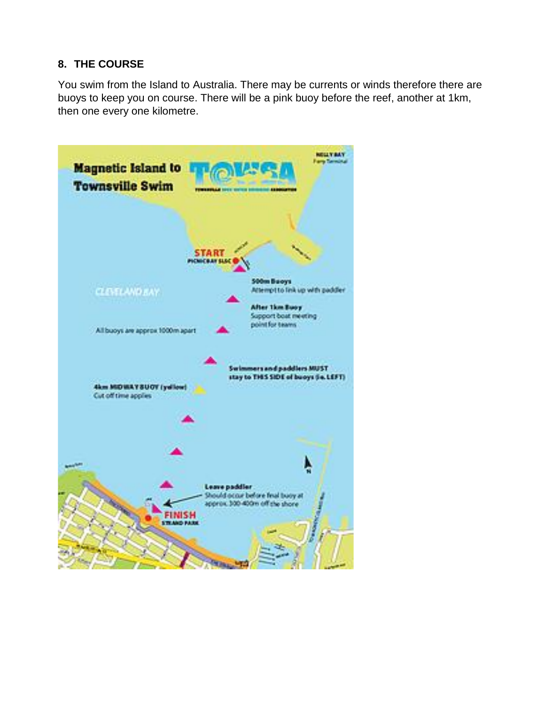## **8. THE COURSE**

You swim from the Island to Australia. There may be currents or winds therefore there are buoys to keep you on course. There will be a pink buoy before the reef, another at 1km, then one every one kilometre.

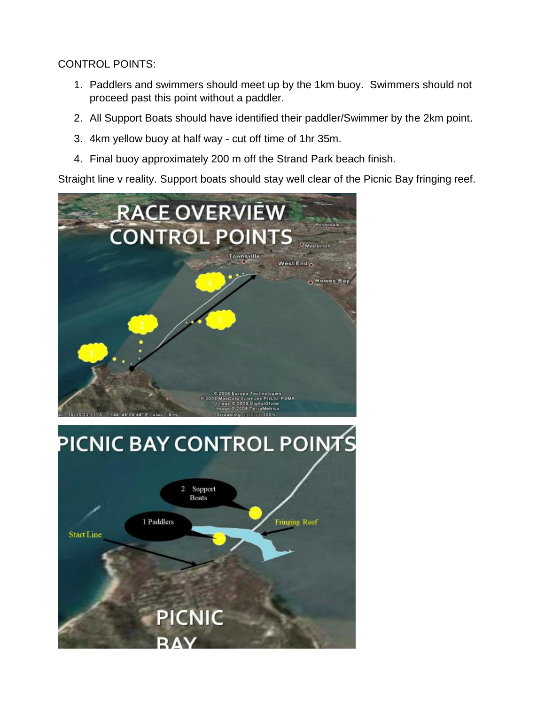CONTROL POINTS:

- 1. Paddlers and swimmers should meet up by the 1km buoy. Swimmers should not proceed past this point without a paddler.
- 2. All Support Boats should have identified their paddler/Swimmer by the 2km point.
- 3. 4km yellow buoy at half way cut off time of 1hr 35m.
- 4. Final buoy approximately 200 m off the Strand Park beach finish.

Straight line v reality. Support boats should stay well clear of the Picnic Bay fringing reef.

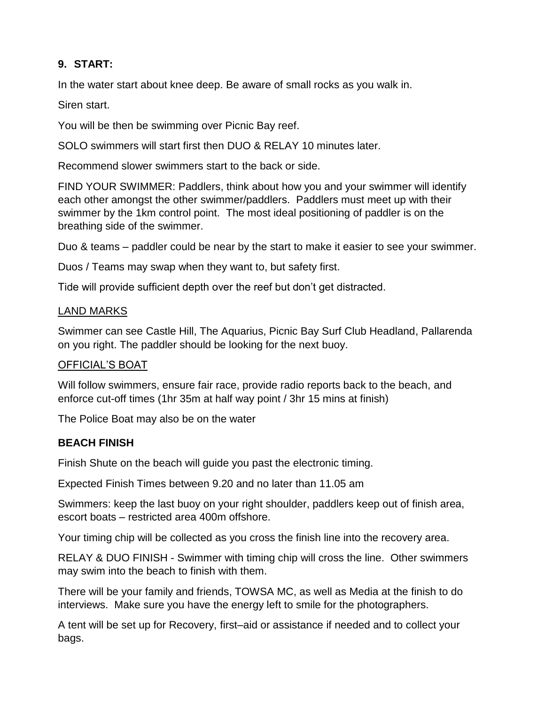## **9. START:**

In the water start about knee deep. Be aware of small rocks as you walk in.

Siren start.

You will be then be swimming over Picnic Bay reef.

SOLO swimmers will start first then DUO & RELAY 10 minutes later.

Recommend slower swimmers start to the back or side.

FIND YOUR SWIMMER: Paddlers, think about how you and your swimmer will identify each other amongst the other swimmer/paddlers. Paddlers must meet up with their swimmer by the 1km control point. The most ideal positioning of paddler is on the breathing side of the swimmer.

Duo & teams – paddler could be near by the start to make it easier to see your swimmer.

Duos / Teams may swap when they want to, but safety first.

Tide will provide sufficient depth over the reef but don't get distracted.

#### LAND MARKS

Swimmer can see Castle Hill, The Aquarius, Picnic Bay Surf Club Headland, Pallarenda on you right. The paddler should be looking for the next buoy.

## OFFICIAL'S BOAT

Will follow swimmers, ensure fair race, provide radio reports back to the beach, and enforce cut-off times (1hr 35m at half way point / 3hr 15 mins at finish)

The Police Boat may also be on the water

## **BEACH FINISH**

Finish Shute on the beach will guide you past the electronic timing.

Expected Finish Times between 9.20 and no later than 11.05 am

Swimmers: keep the last buoy on your right shoulder, paddlers keep out of finish area, escort boats – restricted area 400m offshore.

Your timing chip will be collected as you cross the finish line into the recovery area.

RELAY & DUO FINISH - Swimmer with timing chip will cross the line. Other swimmers may swim into the beach to finish with them.

There will be your family and friends, TOWSA MC, as well as Media at the finish to do interviews. Make sure you have the energy left to smile for the photographers.

A tent will be set up for Recovery, first–aid or assistance if needed and to collect your bags.